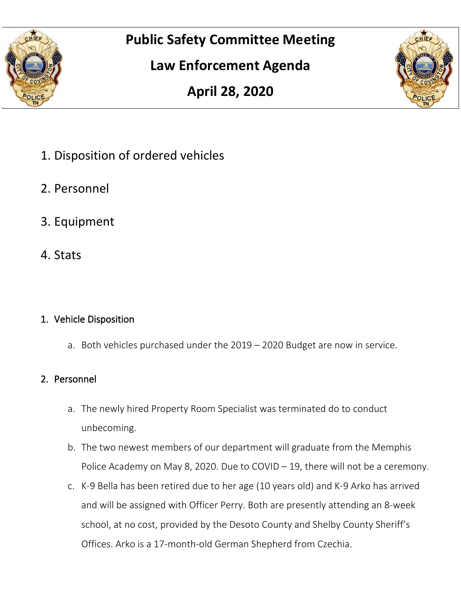

# **Public Safety Committee Meeting**

# **Law Enforcement Agenda**





- 1. Disposition of ordered vehicles
- 2. Personnel
- 3. Equipment
- 4. Stats

### 1. Vehicle Disposition

a. Both vehicles purchased under the 2019 – 2020 Budget are now in service.

### 2. Personnel

- a. The newly hired Property Room Specialist was terminated do to conduct unbecoming.
- b. The two newest members of our department will graduate from the Memphis Police Academy on May 8, 2020. Due to COVID – 19, there will not be a ceremony.
- c. K-9 Bella has been retired due to her age (10 years old) and K-9 Arko has arrived and will be assigned with Officer Perry. Both are presently attending an 8-week school, at no cost, provided by the Desoto County and Shelby County Sheriff's Offices. Arko is a 17-month-old German Shepherd from Czechia.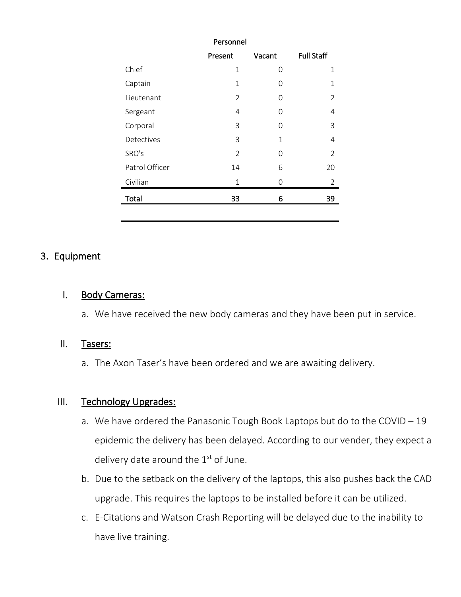| Personnel      |                |              |                   |  |  |
|----------------|----------------|--------------|-------------------|--|--|
|                | Present        | Vacant       | <b>Full Staff</b> |  |  |
| Chief          | 1              | 0            | 1                 |  |  |
| Captain        | 1              | 0            | $\mathbf{1}$      |  |  |
| Lieutenant     | 2              | O            | 2                 |  |  |
| Sergeant       | 4              | 0            | 4                 |  |  |
| Corporal       | 3              | 0            | 3                 |  |  |
| Detectives     | 3              | $\mathbf{1}$ | 4                 |  |  |
| SRO's          | $\overline{2}$ | 0            | $\overline{2}$    |  |  |
| Patrol Officer | 14             | 6            | 20                |  |  |
| Civilian       | 1              | 0            | 2                 |  |  |
| Total          | 33             | 6            | 39                |  |  |
|                |                |              |                   |  |  |

#### 3. Equipment

#### I. Body Cameras:

a. We have received the new body cameras and they have been put in service.

#### II. Tasers:

a. The Axon Taser's have been ordered and we are awaiting delivery.

#### III. Technology Upgrades:

- a. We have ordered the Panasonic Tough Book Laptops but do to the COVID 19 epidemic the delivery has been delayed. According to our vender, they expect a delivery date around the  $1<sup>st</sup>$  of June.
- b. Due to the setback on the delivery of the laptops, this also pushes back the CAD upgrade. This requires the laptops to be installed before it can be utilized.
- c. E-Citations and Watson Crash Reporting will be delayed due to the inability to have live training.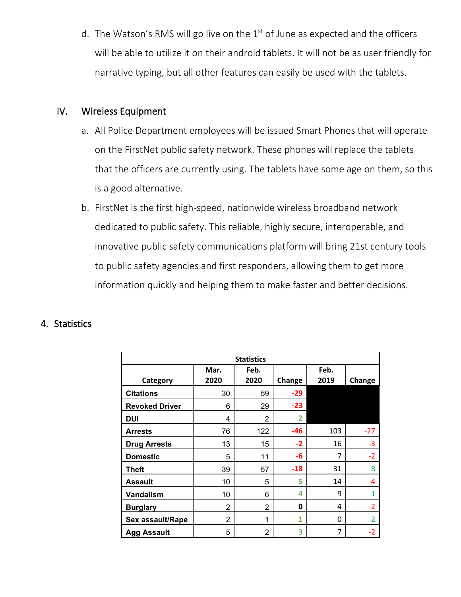d. The Watson's RMS will go live on the  $1<sup>st</sup>$  of June as expected and the officers will be able to utilize it on their android tablets. It will not be as user friendly for narrative typing, but all other features can easily be used with the tablets.

#### IV. Wireless Equipment

- a. All Police Department employees will be issued Smart Phones that will operate on the FirstNet public safety network. These phones will replace the tablets that the officers are currently using. The tablets have some age on them, so this is a good alternative.
- b. FirstNet is the first high-speed, nationwide wireless broadband network dedicated to public safety. This reliable, highly secure, interoperable, and innovative public safety communications platform will bring 21st century tools to public safety agencies and first responders, allowing them to get more information quickly and helping them to make faster and better decisions.

#### 4. Statistics

| <b>Statistics</b>     |                |      |        |      |                         |  |  |  |
|-----------------------|----------------|------|--------|------|-------------------------|--|--|--|
|                       | Mar.           | Feb. |        | Feb. |                         |  |  |  |
| Category              | 2020           | 2020 | Change | 2019 | Change                  |  |  |  |
| <b>Citations</b>      | 30             | 59   | $-29$  |      |                         |  |  |  |
| <b>Revoked Driver</b> | 6              | 29   | $-23$  |      |                         |  |  |  |
| <b>DUI</b>            | 4              | 2    | 2      |      |                         |  |  |  |
| <b>Arrests</b>        | 76             | 122  | $-46$  | 103  | $-27$                   |  |  |  |
| <b>Drug Arrests</b>   | 13             | 15   | $-2$   | 16   | $-3$                    |  |  |  |
| <b>Domestic</b>       | 5              | 11   | -6     | 7    | $-2$                    |  |  |  |
| <b>Theft</b>          | 39             | 57   | $-18$  | 31   | 8                       |  |  |  |
| <b>Assault</b>        | 10             | 5    | 5      | 14   | -4                      |  |  |  |
| Vandalism             | 10             | 6    | 4      | 9    |                         |  |  |  |
| <b>Burglary</b>       | $\overline{2}$ | 2    | 0      | 4    | $-2$                    |  |  |  |
| Sex assault/Rape      | $\overline{2}$ | 1    | 1      | 0    | $\overline{\mathbf{z}}$ |  |  |  |
| <b>Agg Assault</b>    | 5              | 2    | 3      | 7    | $-2$                    |  |  |  |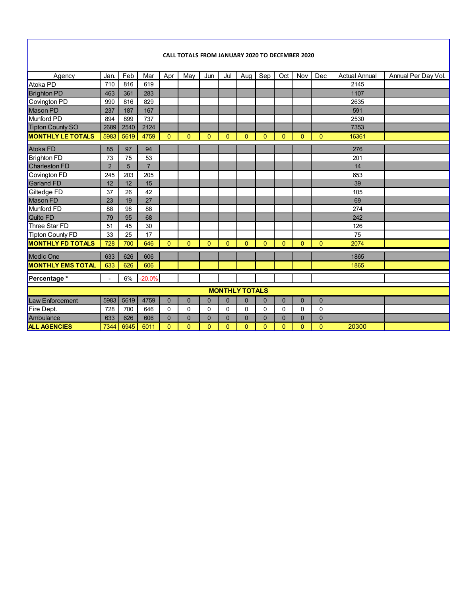#### **CALL TOTALS FROM JANUARY 2020 TO DECEMBER 2020**

| Agency                   | Jan.           | Feb  | Mar            | Apr      | May            | Jun            | Jul      | Aug         | Sep            | Oct          | Nov         | Dec          | <b>Actual Annual</b> | Annual Per Day Vol. |
|--------------------------|----------------|------|----------------|----------|----------------|----------------|----------|-------------|----------------|--------------|-------------|--------------|----------------------|---------------------|
| Atoka PD                 | 710            | 816  | 619            |          |                |                |          |             |                |              |             |              | 2145                 |                     |
| <b>Brighton PD</b>       | 463            | 361  | 283            |          |                |                |          |             |                |              |             |              | 1107                 |                     |
| Covington PD             | 990            | 816  | 829            |          |                |                |          |             |                |              |             |              | 2635                 |                     |
| Mason PD                 | 237            | 187  | 167            |          |                |                |          |             |                |              |             |              | 591                  |                     |
| Munford PD               | 894            | 899  | 737            |          |                |                |          |             |                |              |             |              | 2530                 |                     |
| Tipton County SO         | 2689           | 2540 | 2124           |          |                |                |          |             |                |              |             |              | 7353                 |                     |
| <b>MONTHLY LE TOTALS</b> | 5983           | 5619 | 4759           | $\Omega$ | $\Omega$       | $\Omega$       | $\Omega$ | $\Omega$    | $\Omega$       | $\Omega$     | $\Omega$    | $\Omega$     | 16361                |                     |
| <b>Atoka FD</b>          | 85             | 97   | 94             |          |                |                |          |             |                |              |             |              | 276                  |                     |
| <b>Brighton FD</b>       | 73             | 75   | 53             |          |                |                |          |             |                |              |             |              | 201                  |                     |
| <b>Charleston FD</b>     | $\overline{2}$ | 5    | $\overline{7}$ |          |                |                |          |             |                |              |             |              | 14                   |                     |
| Covington FD             | 245            | 203  | 205            |          |                |                |          |             |                |              |             |              | 653                  |                     |
| <b>Garland FD</b>        | 12             | 12   | 15             |          |                |                |          |             |                |              |             |              | 39                   |                     |
| Giltedge FD              | 37             | 26   | 42             |          |                |                |          |             |                |              |             |              | 105                  |                     |
| <b>Mason FD</b>          | 23             | 19   | 27             |          |                |                |          |             |                |              |             |              | 69                   |                     |
| <b>Munford FD</b>        | 88             | 98   | 88             |          |                |                |          |             |                |              |             |              | 274                  |                     |
| Quito FD                 | 79             | 95   | 68             |          |                |                |          |             |                |              |             |              | 242                  |                     |
| Three Star FD            | 51             | 45   | 30             |          |                |                |          |             |                |              |             |              | 126                  |                     |
| <b>Tipton County FD</b>  | 33             | 25   | 17             |          |                |                |          |             |                |              |             |              | 75                   |                     |
| <b>MONTHLY FD TOTALS</b> | 728            | 700  | 646            | $\Omega$ | $\Omega$       | $\Omega$       | $\Omega$ | $\Omega$    | $\Omega$       | $\Omega$     | $\Omega$    | $\Omega$     | 2074                 |                     |
| <b>Medic One</b>         | 633            | 626  | 606            |          |                |                |          |             |                |              |             |              | 1865                 |                     |
| <b>MONTHLY EMS TOTAL</b> | 633            | 626  | 606            |          |                |                |          |             |                |              |             |              | 1865                 |                     |
| Percentage *             | $\overline{a}$ | 6%   | $-20.0%$       |          |                |                |          |             |                |              |             |              |                      |                     |
| <b>MONTHLY TOTALS</b>    |                |      |                |          |                |                |          |             |                |              |             |              |                      |                     |
| <b>Law Enforcement</b>   | 5983           | 5619 | 4759           | $\Omega$ | $\mathbf 0$    | $\overline{0}$ | $\Omega$ | $\mathbf 0$ | $\overline{0}$ | $\mathbf{0}$ | $\mathbf 0$ | $\mathbf{0}$ |                      |                     |
| Fire Dept.               | 728            | 700  | 646            | $\Omega$ | $\mathbf{0}$   | 0              | 0        | $\mathbf 0$ | 0              | $\Omega$     | $\Omega$    | $\Omega$     |                      |                     |
| Ambulance                | 633            | 626  | 606            | $\Omega$ | $\overline{0}$ | $\Omega$       | $\Omega$ | $\mathbf 0$ | $\overline{0}$ | $\Omega$     | $\Omega$    | $\Omega$     |                      |                     |
| <b>ALL AGENCIES</b>      | 7344           | 6945 | 6011           | $\Omega$ | $\Omega$       | $\Omega$       | $\Omega$ | $\Omega$    | 0              | $\Omega$     | $\Omega$    | $\Omega$     | 20300                |                     |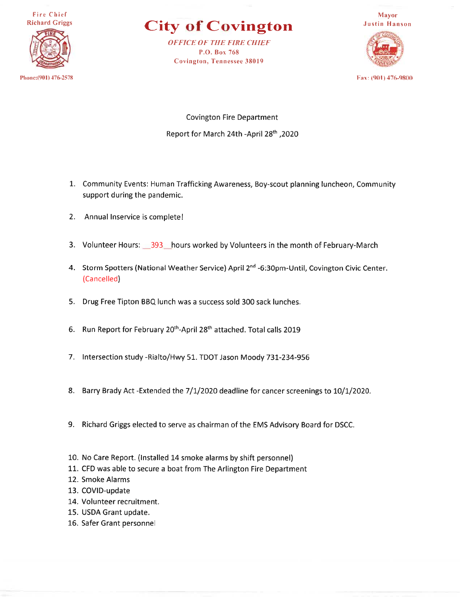**Fire Chief Richard Griggs** 

Phone: (901) 476-2578

**City of Covington** 

**OFFICE OF THE FIRE CHIEF** P.O. Box 768 **Covington, Tennessee 38019** 



Fax: (901) 476-9800

**Covington Fire Department** Report for March 24th -April 28th, 2020

- 1. Community Events: Human Trafficking Awareness, Boy-scout planning luncheon, Community support during the pandemic.
- 2. Annual Inservice is complete!
- 3. Volunteer Hours: 393 hours worked by Volunteers in the month of February-March
- 4. Storm Spotters (National Weather Service) April 2<sup>nd</sup> -6:30pm-Until, Covington Civic Center. (Cancelled)
- 5. Drug Free Tipton BBQ lunch was a success sold 300 sack lunches.
- 6. Run Report for February 20<sup>th</sup>-April 28<sup>th</sup> attached. Total calls 2019
- 7. Intersection study -Rialto/Hwy 51. TDOT Jason Moody 731-234-956
- 8. Barry Brady Act -Extended the 7/1/2020 deadline for cancer screenings to 10/1/2020.
- 9. Richard Griggs elected to serve as chairman of the EMS Advisory Board for DSCC.
- 10. No Care Report. (Installed 14 smoke alarms by shift personnel)
- 11. CFD was able to secure a boat from The Arlington Fire Department
- 12. Smoke Alarms
- 13. COVID-update
- 14. Volunteer recruitment.
- 15. USDA Grant update.
- 16. Safer Grant personnel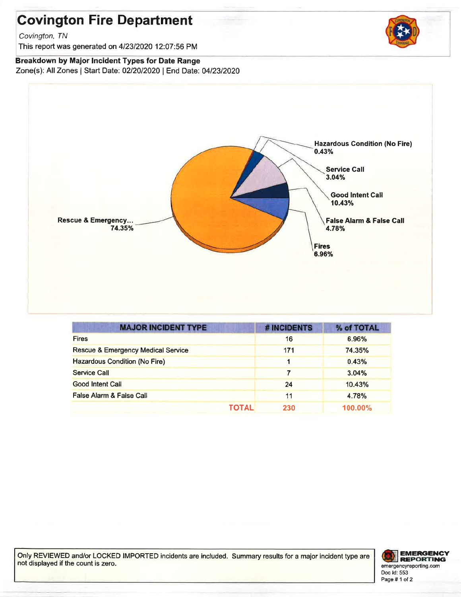# **Covington Fire Department**

Covington, TN

This report was generated on 4/23/2020 12:07:56 PM

#### Breakdown by Major Incident Types for Date Range

Zone(s): All Zones | Start Date: 02/20/2020 | End Date: 04/23/2020



| <b>MAJOR INCIDENT TYPE</b>                    | # INCIDENTS         | % of TOTAL |
|-----------------------------------------------|---------------------|------------|
| <b>Fires</b>                                  | 16                  | 6.96%      |
| <b>Rescue &amp; Emergency Medical Service</b> | 171                 | 74.35%     |
| <b>Hazardous Condition (No Fire)</b>          |                     | 0.43%      |
| <b>Service Call</b>                           |                     | 3.04%      |
| <b>Good Intent Call</b>                       | 24                  | 10.43%     |
| False Alarm & False Call                      | 11                  | 4.78%      |
|                                               | <b>TOTAL</b><br>230 | $100.00\%$ |

Only REVIEWED and/or LOCKED IMPORTED incidents are included. Summary results for a major incident type are not displayed if the count is zero.



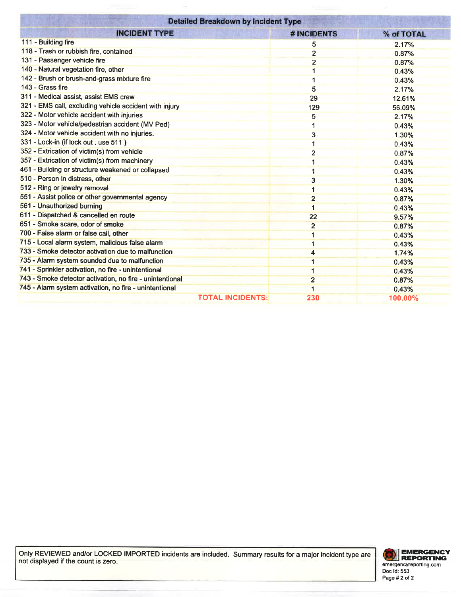| <b>Detailed Breakdown by Incident Type</b>               |                                |            |  |  |  |  |  |
|----------------------------------------------------------|--------------------------------|------------|--|--|--|--|--|
| <b>INCIDENT TYPE</b>                                     | # INCIDENTS                    | % of TOTAL |  |  |  |  |  |
| 111 - Building fire                                      | 5                              | 2.17%      |  |  |  |  |  |
| 118 - Trash or rubbish fire, contained                   | $\overline{2}$                 | 0.87%      |  |  |  |  |  |
| 131 - Passenger vehicle fire                             | $\overline{2}$                 | 0.87%      |  |  |  |  |  |
| 140 - Natural vegetation fire, other                     |                                | 0.43%      |  |  |  |  |  |
| 142 - Brush or brush-and-grass mixture fire              |                                | 0.43%      |  |  |  |  |  |
| 143 - Grass fire                                         | 5                              | 2.17%      |  |  |  |  |  |
| 311 - Medical assist, assist EMS crew                    | 29                             | 12.61%     |  |  |  |  |  |
| 321 - EMS call, excluding vehicle accident with injury   | 129                            | 56.09%     |  |  |  |  |  |
| 322 - Motor vehicle accident with injuries               | 5                              | 2.17%      |  |  |  |  |  |
| 323 - Motor vehicle/pedestrian accident (MV Ped)         |                                | 0.43%      |  |  |  |  |  |
| 324 - Motor vehicle accident with no injuries.           | 3                              | 1.30%      |  |  |  |  |  |
| 331 - Lock-in (if lock out, use 511)                     |                                | 0.43%      |  |  |  |  |  |
| 352 - Extrication of victim(s) from vehicle              | $\overline{2}$                 | 0.87%      |  |  |  |  |  |
| 357 - Extrication of victim(s) from machinery            | 1                              | 0.43%      |  |  |  |  |  |
| 461 - Building or structure weakened or collapsed        |                                | 0.43%      |  |  |  |  |  |
| 510 - Person in distress, other                          | 3                              | 1.30%      |  |  |  |  |  |
| 512 - Ring or jewelry removal                            | 1                              | 0.43%      |  |  |  |  |  |
| 551 - Assist police or other governmental agency         | $\overline{2}$                 | 0.87%      |  |  |  |  |  |
| 561 - Unauthorized burning                               | $\overline{\mathbf{1}}$        | 0.43%      |  |  |  |  |  |
| 611 - Dispatched & cancelled en route                    | 22                             | 9.57%      |  |  |  |  |  |
| 651 - Smoke scare, odor of smoke                         | $\overline{2}$                 | 0.87%      |  |  |  |  |  |
| 700 - False alarm or false call, other                   | 1                              | 0.43%      |  |  |  |  |  |
| 715 - Local alarm system, malicious false alarm          | 1                              | 0.43%      |  |  |  |  |  |
| 733 - Smoke detector activation due to malfunction       | 4                              | 1.74%      |  |  |  |  |  |
| 735 - Alarm system sounded due to malfunction            | 1                              | 0.43%      |  |  |  |  |  |
| 741 - Sprinkler activation, no fire - unintentional      | 1                              | 0.43%      |  |  |  |  |  |
| 743 - Smoke detector activation, no fire - unintentional | $\overline{2}$                 | 0.87%      |  |  |  |  |  |
| 745 - Alarm system activation, no fire - unintentional   | 1                              | 0.43%      |  |  |  |  |  |
|                                                          | <b>TOTAL INCIDENTS:</b><br>230 | 100.00%    |  |  |  |  |  |

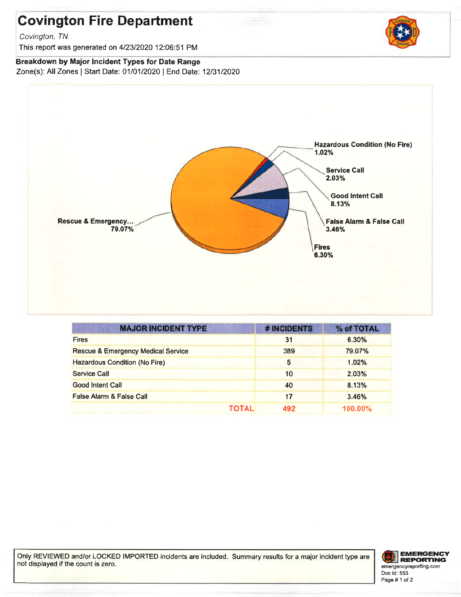## **Covington Fire Department**

Covington, TN

This report was generated on 4/23/2020 12:06:51 PM

#### Breakdown by Major Incident Types for Date Range

Zone(s): All Zones | Start Date: 01/01/2020 | End Date: 12/31/2020



| <b>MAJOR INCIDENT TYPE</b>                    | # INCIDENTS | % of TOTAL |
|-----------------------------------------------|-------------|------------|
| <b>Fires</b>                                  | 31          | 6.30%      |
| <b>Rescue &amp; Emergency Medical Service</b> | 389         | 79.07%     |
| <b>Hazardous Condition (No Fire)</b>          | 5           | 1.02%      |
| Service Call                                  | 10          | 2.03%      |
| <b>Good Intent Call</b>                       | 40          | 8.13%      |
| <b>False Alarm &amp; False Call</b>           | 17          | 3.46%      |
| TOTAL                                         | 492         | 100.00%    |

Only REVIEWED and/or LOCKED IMPORTED incidents are included. Summary results for a major incident type are not displayed if the count is zero.



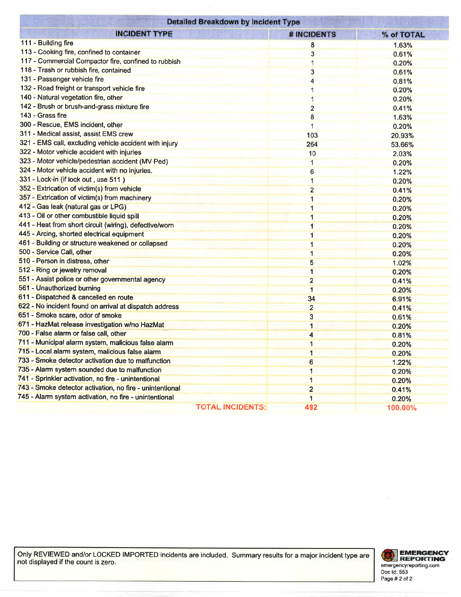| <b>Detailed Breakdown by Incident Type</b>               |                         |                         |            |  |  |  |  |
|----------------------------------------------------------|-------------------------|-------------------------|------------|--|--|--|--|
| <b>INCIDENT TYPE</b>                                     |                         | <b># INCIDENTS</b>      | % of TOTAL |  |  |  |  |
| 111 - Building fire                                      |                         | 8                       | 1.63%      |  |  |  |  |
| 113 - Cooking fire, confined to container                |                         | 3                       | 0.61%      |  |  |  |  |
| 117 - Commercial Compactor fire, confined to rubbish     |                         | 1                       | 0.20%      |  |  |  |  |
| 118 - Trash or rubbish fire, contained                   |                         | 3                       | 0.61%      |  |  |  |  |
| 131 - Passenger vehicle fire                             |                         | 4                       | 0.81%      |  |  |  |  |
| 132 - Road freight or transport vehicle fire             |                         |                         | 0.20%      |  |  |  |  |
| 140 - Natural vegetation fire, other                     |                         |                         | 0.20%      |  |  |  |  |
| 142 - Brush or brush-and-grass mixture fire              |                         | $\overline{2}$          | 0.41%      |  |  |  |  |
| 143 - Grass fire                                         |                         | 8                       | 1.63%      |  |  |  |  |
| 300 - Rescue, EMS incident, other                        |                         | 1                       | 0.20%      |  |  |  |  |
| 311 - Medical assist, assist EMS crew                    |                         | 103                     | 20.93%     |  |  |  |  |
| 321 - EMS call, excluding vehicle accident with injury   |                         | 264                     | 53.66%     |  |  |  |  |
| 322 - Motor vehicle accident with injuries               |                         | 10                      | 2.03%      |  |  |  |  |
| 323 - Motor vehicle/pedestrian accident (MV Ped)         |                         | $\mathbf 1$             | 0.20%      |  |  |  |  |
| 324 - Motor vehicle accident with no injuries.           |                         | 6                       | 1.22%      |  |  |  |  |
| 331 - Lock-in (if lock out, use 511)                     |                         | $\mathbf 1$             | 0.20%      |  |  |  |  |
| 352 - Extrication of victim(s) from vehicle              |                         | $\overline{2}$          | 0.41%      |  |  |  |  |
| 357 - Extrication of victim(s) from machinery            |                         | 1                       | 0.20%      |  |  |  |  |
| 412 - Gas leak (natural gas or LPG)                      |                         | 1                       | 0.20%      |  |  |  |  |
| 413 - Oil or other combustible liquid spill              |                         | 1                       | 0.20%      |  |  |  |  |
| 441 - Heat from short circuit (wiring), defective/worn   |                         | $\mathbf{1}$            | 0.20%      |  |  |  |  |
| 445 - Arcing, shorted electrical equipment               |                         | 1                       | 0.20%      |  |  |  |  |
| 461 - Building or structure weakened or collapsed        |                         | $\mathbf{1}$            | 0.20%      |  |  |  |  |
| 500 - Service Call, other                                |                         | 1                       | 0.20%      |  |  |  |  |
| 510 - Person in distress, other                          |                         | 5                       | 1.02%      |  |  |  |  |
| 512 - Ring or jewelry removal                            |                         | $\mathbf{1}$            | 0.20%      |  |  |  |  |
| 551 - Assist police or other governmental agency         |                         | $\overline{2}$          | 0.41%      |  |  |  |  |
| 561 - Unauthorized burning                               |                         | $\overline{1}$          | 0.20%      |  |  |  |  |
| 611 - Dispatched & cancelled en route                    |                         | 34                      | 6.91%      |  |  |  |  |
| 622 - No incident found on arrival at dispatch address   |                         | $\overline{2}$          | 0.41%      |  |  |  |  |
| 651 - Smoke scare, odor of smoke                         |                         | 3                       | 0.61%      |  |  |  |  |
| 671 - HazMat release investigation w/no HazMat           |                         | 1                       | 0.20%      |  |  |  |  |
| 700 - False alarm or false call, other                   |                         | $\overline{\mathbf{4}}$ | 0.81%      |  |  |  |  |
| 711 - Municipal alarm system, malicious false alarm      |                         | 1                       | 0.20%      |  |  |  |  |
| 715 - Local alarm system, malicious false alarm          |                         | 1                       | 0.20%      |  |  |  |  |
| 733 - Smoke detector activation due to malfunction       |                         | 6                       | 1.22%      |  |  |  |  |
| 735 - Alarm system sounded due to malfunction            |                         | $\mathbf{1}$            | 0.20%      |  |  |  |  |
| 741 - Sprinkler activation, no fire - unintentional      |                         | 1                       | 0.20%      |  |  |  |  |
| 743 - Smoke detector activation, no fire - unintentional |                         | $\overline{2}$          | 0.41%      |  |  |  |  |
| 745 - Alarm system activation, no fire - unintentional   |                         | 1                       | 0.20%      |  |  |  |  |
|                                                          | <b>TOTAL INCIDENTS:</b> | 492                     | 100.00%    |  |  |  |  |

Only REVIEWED and/or LOCKED IMPORTED incidents are included. Summary results for a major incident type are not displayed if the count is zero.



ä,